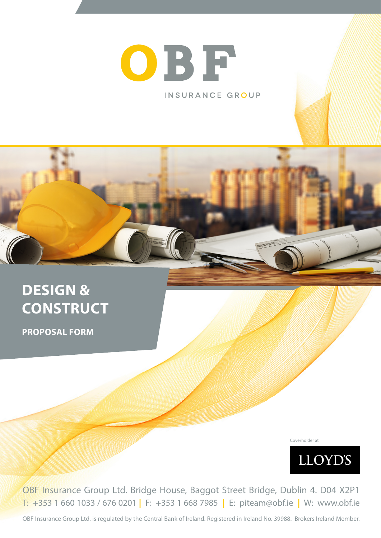# OBF INSURANCE GROUP

**DESIGN & CONSTRUCT**

**PROPOSAL FORM**

Coverholder at



OBF Insurance Group Ltd. Bridge House, Baggot Street Bridge, Dublin 4. D04 X2P1 T: +353 1 660 1033 / 676 0201 **|** F: +353 1 668 7985 **|** E: piteam@obf.ie **|** W: www.obf.ie

OBF Insurance Group Ltd. is regulated by the Central Bank of Ireland. Registered in Ireland No. 39988. Brokers Ireland Member.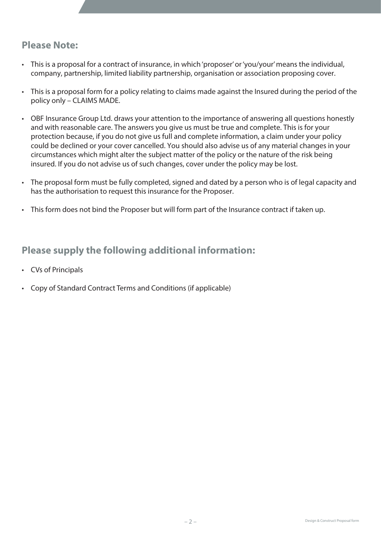## **Please Note:**

- This is a proposal for a contract of insurance, in which 'proposer' or 'you/your' means the individual, company, partnership, limited liability partnership, organisation or association proposing cover.
- This is a proposal form for a policy relating to claims made against the Insured during the period of the policy only – CLAIMS MADE.
- OBF Insurance Group Ltd. draws your attention to the importance of answering all questions honestly and with reasonable care. The answers you give us must be true and complete. This is for your protection because, if you do not give us full and complete information, a claim under your policy could be declined or your cover cancelled. You should also advise us of any material changes in your circumstances which might alter the subject matter of the policy or the nature of the risk being insured. If you do not advise us of such changes, cover under the policy may be lost.
- The proposal form must be fully completed, signed and dated by a person who is of legal capacity and has the authorisation to request this insurance for the Proposer.
- This form does not bind the Proposer but will form part of the Insurance contract if taken up.

# **Please supply the following additional information:**

- CVs of Principals
- Copy of Standard Contract Terms and Conditions (if applicable)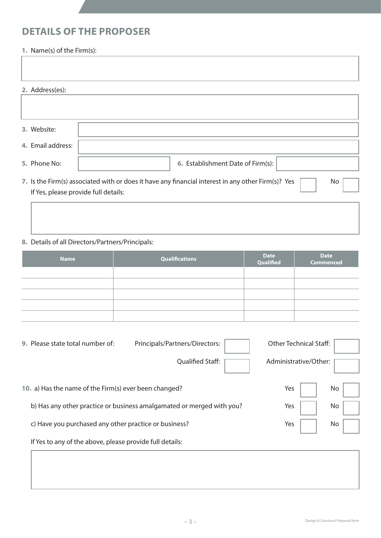# **DETAILS OF THE PROPOSER**

### **1.** Name(s) of the Firm(s):

| 2. Address(es):                      |                                                                                                          |
|--------------------------------------|----------------------------------------------------------------------------------------------------------|
|                                      |                                                                                                          |
|                                      |                                                                                                          |
| 3. Website:                          |                                                                                                          |
| 4. Email address:                    |                                                                                                          |
| 5. Phone No:                         | 6. Establishment Date of Firm(s):                                                                        |
|                                      | 7. Is the Firm(s) associated with or does it have any financial interest in any other Firm(s)? Yes<br>No |
| If Yes, please provide full details: |                                                                                                          |
|                                      |                                                                                                          |
|                                      |                                                                                                          |
|                                      |                                                                                                          |

## **8.** Details of all Directors/Partners/Principals:

| <b>Name</b> | Qualifications | Date<br>Qualified | Date<br>Commenced |
|-------------|----------------|-------------------|-------------------|
|             |                |                   |                   |
|             |                |                   |                   |
|             |                |                   |                   |
|             |                |                   |                   |
|             |                |                   |                   |

| 9. Please state total number of:                         | Principals/Partners/Directors:                                        | <b>Other Technical Staff:</b> |
|----------------------------------------------------------|-----------------------------------------------------------------------|-------------------------------|
|                                                          | <b>Qualified Staff:</b>                                               | Administrative/Other:         |
| 10. a) Has the name of the Firm(s) ever been changed?    |                                                                       | Yes<br>No.                    |
|                                                          | b) Has any other practice or business amalgamated or merged with you? | Yes<br>No.                    |
| c) Have you purchased any other practice or business?    |                                                                       | Yes<br>No                     |
| If Yes to any of the above, please provide full details: |                                                                       |                               |
|                                                          |                                                                       |                               |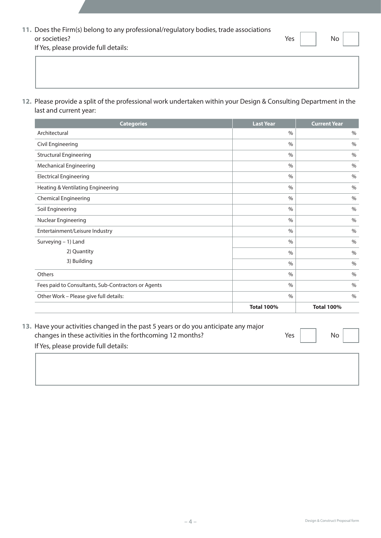| 11. Does the Firm(s) belong to any professional/regulatory bodies, trade associations |     |    |
|---------------------------------------------------------------------------------------|-----|----|
| or societies?                                                                         | Yes | No |

 If Yes, please provide full details:

**12.** Please provide a split of the professional work undertaken within your Design & Consulting Department in the last and current year:

| <b>Categories</b>                                   | <b>Last Year</b>  | <b>Current Year</b> |
|-----------------------------------------------------|-------------------|---------------------|
| Architectural                                       | $\frac{0}{0}$     | $\%$                |
| Civil Engineering                                   | $\frac{0}{0}$     | $\%$                |
| <b>Structural Engineering</b>                       | $\frac{0}{0}$     | $\%$                |
| <b>Mechanical Engineering</b>                       | $\frac{0}{0}$     | $\%$                |
| <b>Electrical Engineering</b>                       | $\%$              | $\%$                |
| Heating & Ventilating Engineering                   | $\frac{0}{0}$     | $\%$                |
| <b>Chemical Engineering</b>                         | $\frac{0}{0}$     | $\%$                |
| Soil Engineering                                    | $\frac{0}{0}$     | $\%$                |
| Nuclear Engineering                                 | $\frac{0}{0}$     | $\%$                |
| Entertainment/Leisure Industry                      | $\frac{0}{0}$     | $\%$                |
| Surveying - 1) Land                                 | $\frac{0}{0}$     |                     |
| 2) Quantity                                         | $\frac{0}{0}$     | $\%$                |
| 3) Building                                         | $\frac{0}{0}$     | $\%$                |
| Others                                              | $\frac{0}{0}$     | $\%$                |
| Fees paid to Consultants, Sub-Contractors or Agents | $\frac{0}{0}$     | $\%$                |
| Other Work - Please give full details:              | $\frac{0}{0}$     | $\%$                |
|                                                     | <b>Total 100%</b> | <b>Total 100%</b>   |

| 13. Have your activities changed in the past 5 years or do you anticipate any major |                 |           |  |
|-------------------------------------------------------------------------------------|-----------------|-----------|--|
| changes in these activities in the forthcoming 12 months?                           | Yes $\parallel$ | <b>No</b> |  |
| If Yes, please provide full details:                                                |                 |           |  |
|                                                                                     |                 |           |  |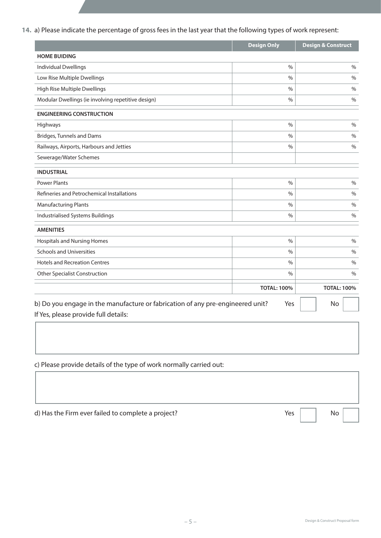### **14.** a) Please indicate the percentage of gross fees in the last year that the following types of work represent:

|                                                                                | <b>Design Only</b> | <b>Design &amp; Construct</b> |
|--------------------------------------------------------------------------------|--------------------|-------------------------------|
| <b>HOME BUIDING</b>                                                            |                    |                               |
| <b>Individual Dwellings</b>                                                    | $\frac{0}{0}$      | $\frac{0}{0}$                 |
| Low Rise Multiple Dwellings                                                    | $\frac{0}{0}$      | $\%$                          |
| High Rise Multiple Dwellings                                                   | $\frac{0}{0}$      | $\%$                          |
| Modular Dwellings (ie involving repetitive design)                             | $\%$               | $\frac{0}{0}$                 |
| <b>ENGINEERING CONSTRUCTION</b>                                                |                    |                               |
| Highways                                                                       | $\frac{0}{0}$      | $\%$                          |
| <b>Bridges, Tunnels and Dams</b>                                               | $\frac{0}{0}$      | $\frac{0}{0}$                 |
| Railways, Airports, Harbours and Jetties                                       | $\frac{0}{0}$      | $\frac{0}{0}$                 |
| Sewerage/Water Schemes                                                         |                    |                               |
| <b>INDUSTRIAL</b>                                                              |                    |                               |
| <b>Power Plants</b>                                                            | $\%$               | $\%$                          |
| Refineries and Petrochemical Installations                                     | $\frac{0}{0}$      | $\frac{0}{0}$                 |
| <b>Manufacturing Plants</b>                                                    | $\%$               | $\%$                          |
| Industrialised Systems Buildings                                               | $\frac{0}{0}$      | $\frac{0}{0}$                 |
| <b>AMENITIES</b>                                                               |                    |                               |
| <b>Hospitals and Nursing Homes</b>                                             | $\frac{0}{0}$      | $\%$                          |
| <b>Schools and Universities</b>                                                | $\frac{0}{0}$      | $\frac{0}{0}$                 |
| <b>Hotels and Recreation Centres</b>                                           | $\%$               | $\frac{0}{0}$                 |
| <b>Other Specialist Construction</b>                                           | $\%$               | $\frac{0}{0}$                 |
|                                                                                | <b>TOTAL: 100%</b> | <b>TOTAL: 100%</b>            |
| b) Do you engage in the manufacture or fabrication of any pre-engineered unit? | Yes                | No                            |
| If Yes, please provide full details:                                           |                    |                               |

 c) Please provide details of the type of work normally carried out:

| d) Has the Firm ever failed to complete a project? | Yes | No |
|----------------------------------------------------|-----|----|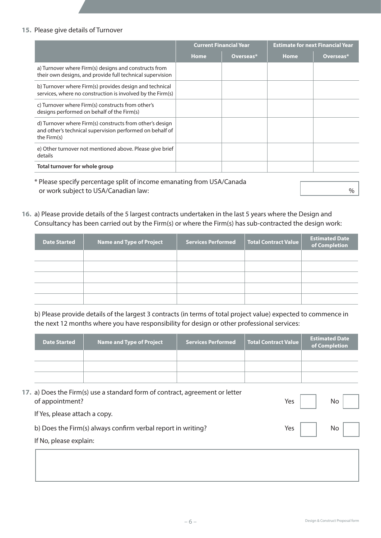#### **15.** Please give details of Turnover

|                                                                                                                                     | <b>Current Financial Year</b> |           | <b>Estimate for next Financial Year</b> |           |
|-------------------------------------------------------------------------------------------------------------------------------------|-------------------------------|-----------|-----------------------------------------|-----------|
|                                                                                                                                     | <b>Home</b>                   | Overseas* | <b>Home</b>                             | Overseas* |
| a) Turnover where Firm(s) designs and constructs from<br>their own designs, and provide full technical supervision                  |                               |           |                                         |           |
| b) Turnover where Firm(s) provides design and technical<br>services, where no construction is involved by the Firm(s)               |                               |           |                                         |           |
| c) Turnover where Firm(s) constructs from other's<br>designs performed on behalf of the Firm(s)                                     |                               |           |                                         |           |
| d) Turnover where Firm(s) constructs from other's design<br>and other's technical supervision performed on behalf of<br>the Firm(s) |                               |           |                                         |           |
| e) Other turnover not mentioned above. Please give brief<br>details                                                                 |                               |           |                                         |           |
| Total turnover for whole group                                                                                                      |                               |           |                                         |           |

\* Please specify percentage split of income emanating from USA/Canada or work subject to USA/Canadian law:  $\%$ 

**16.** a) Please provide details of the 5 largest contracts undertaken in the last 5 years where the Design and Consultancy has been carried out by the Firm(s) or where the Firm(s) has sub-contracted the design work:

| <b>Date Started</b> | Name and Type of Project | <b>Services Performed</b> | <b>Total Contract Value</b> | <b>Estimated Date</b><br>of Completion |
|---------------------|--------------------------|---------------------------|-----------------------------|----------------------------------------|
|                     |                          |                           |                             |                                        |
|                     |                          |                           |                             |                                        |
|                     |                          |                           |                             |                                        |
|                     |                          |                           |                             |                                        |
|                     |                          |                           |                             |                                        |

b) Please provide details of the largest 3 contracts (in terms of total project value) expected to commence in the next 12 months where you have responsibility for design or other professional services:

| Date Started | <b>Name and Type of Project</b> | <b>Services Performed</b> | Total Contract Value | <b>Estimated Date</b><br>of Completion |
|--------------|---------------------------------|---------------------------|----------------------|----------------------------------------|
|              |                                 |                           |                      |                                        |
|              |                                 |                           |                      |                                        |
|              |                                 |                           |                      |                                        |

| 17. a) Does the Firm(s) use a standard form of contract, agreement or letter |                     |    |
|------------------------------------------------------------------------------|---------------------|----|
| of appointment?                                                              | Yes $\vert$ $\vert$ | No |
| If Yes, please attach a copy.                                                |                     |    |
| b) Does the Firm(s) always confirm verbal report in writing?                 | Yes $\vert$ $\vert$ | No |
| If No, please explain:                                                       |                     |    |
|                                                                              |                     |    |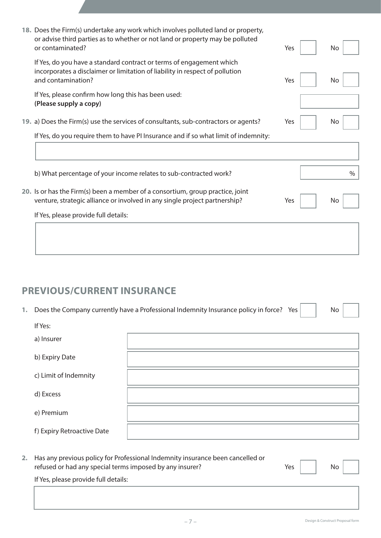| 18. Does the Firm(s) undertake any work which involves polluted land or property,<br>or advise third parties as to whether or not land or property may be polluted<br>or contaminated? | Yes | No   |
|----------------------------------------------------------------------------------------------------------------------------------------------------------------------------------------|-----|------|
| If Yes, do you have a standard contract or terms of engagement which<br>incorporates a disclaimer or limitation of liability in respect of pollution<br>and contamination?             | Yes | No   |
| If Yes, please confirm how long this has been used:<br>(Please supply a copy)                                                                                                          |     |      |
| 19. a) Does the Firm(s) use the services of consultants, sub-contractors or agents?                                                                                                    | Yes | No.  |
| If Yes, do you require them to have PI Insurance and if so what limit of indemnity:                                                                                                    |     |      |
|                                                                                                                                                                                        |     |      |
| b) What percentage of your income relates to sub-contracted work?                                                                                                                      |     | $\%$ |
| 20. Is or has the Firm(s) been a member of a consortium, group practice, joint<br>venture, strategic alliance or involved in any single project partnership?                           | Yes | No.  |
| If Yes, please provide full details:                                                                                                                                                   |     |      |
|                                                                                                                                                                                        |     |      |
|                                                                                                                                                                                        |     |      |

# **PREVIOUS/CURRENT INSURANCE**

1. Does the Company currently have a Professional Indemnity Insurance policy in force? Yes

| If Yes:                    |  |
|----------------------------|--|
| a) Insurer                 |  |
| b) Expiry Date             |  |
| c) Limit of Indemnity      |  |
| d) Excess                  |  |
| e) Premium                 |  |
| f) Expiry Retroactive Date |  |

**2.** Has any previous policy for Professional Indemnity insurance been cancelled or refused or had any special terms imposed by any insurer?  $Yes \mid$  No

 If Yes, please provide full details: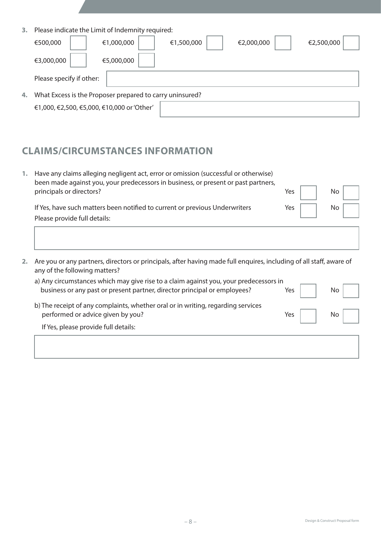| 3. | Please indicate the Limit of Indemnity required:                 |
|----|------------------------------------------------------------------|
|    | €1,000,000<br>€500,000<br>€1,500,000<br>€2,000,000<br>€2,500,000 |
|    | €3,000,000<br>€5,000,000                                         |
|    | Please specify if other:                                         |
| 4. | What Excess is the Proposer prepared to carry uninsured?         |
|    | €1,000, €2,500, €5,000, €10,000 or 'Other'                       |

# **CLAIMS/CIRCUMSTANCES INFORMATION**

| 1. | Have any claims alleging negligent act, error or omission (successful or otherwise)<br>been made against you, your predecessors in business, or present or past partners,<br>principals or directors? | Yes | No |
|----|-------------------------------------------------------------------------------------------------------------------------------------------------------------------------------------------------------|-----|----|
|    | If Yes, have such matters been notified to current or previous Underwriters<br>Please provide full details:                                                                                           | Yes |    |
|    |                                                                                                                                                                                                       |     |    |

| 2. Are you or any partners, directors or principals, after having made full enguires, including of all staff, aware of |
|------------------------------------------------------------------------------------------------------------------------|
| any of the following matters?                                                                                          |

| a) Any circumstances which may give rise to a claim against you, your predecessors in |     |  |
|---------------------------------------------------------------------------------------|-----|--|
| business or any past or present partner, director principal or employees?             | Yes |  |
| b) The receipt of any complaints, whether oral or in writing, regarding services      |     |  |
| performed or advice given by you?                                                     | Yes |  |
| If Yes, please provide full details:                                                  |     |  |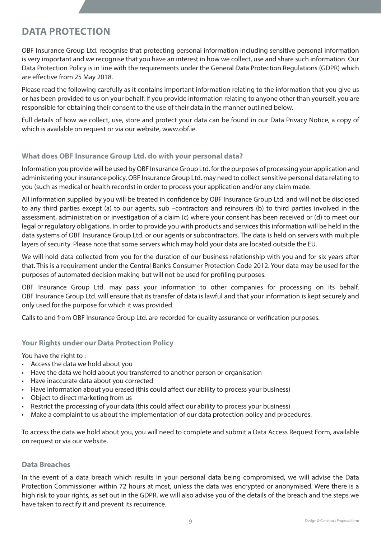# **DATA PROTECTION**

OBF Insurance Group Ltd. recognise that protecting personal information including sensitive personal information is very important and we recognise that you have an interest in how we collect, use and share such information. Our Data Protection Policy is in line with the requirements under the General Data Protection Regulations (GDPR) which are effective from 25 May 2018.

Please read the following carefully as it contains important information relating to the information that you give us or has been provided to us on your behalf. If you provide information relating to anyone other than yourself, you are responsible for obtaining their consent to the use of their data in the manner outlined below.

Full details of how we collect, use, store and protect your data can be found in our Data Privacy Notice, a copy of which is available on request or via our website, www.obf.ie.

#### **What does OBF Insurance Group Ltd. do with your personal data?**

Information you provide will be used by OBF Insurance Group Ltd. for the purposes of processing your application and administering your insurance policy. OBF Insurance Group Ltd. may need to collect sensitive personal data relating to you (such as medical or health records) in order to process your application and/or any claim made.

All information supplied by you will be treated in confidence by OBF Insurance Group Ltd. and will not be disclosed to any third parties except (a) to our agents, sub –contractors and reinsurers (b) to third parties involved in the assessment, administration or investigation of a claim (c) where your consent has been received or (d) to meet our legal or regulatory obligations. In order to provide you with products and services this information will be held in the data systems of OBF Insurance Group Ltd. or our agents or subcontractors. The data is held on servers with multiple layers of security. Please note that some servers which may hold your data are located outside the EU.

We will hold data collected from you for the duration of our business relationship with you and for six years after that. This is a requirement under the Central Bank's Consumer Protection Code 2012. Your data may be used for the purposes of automated decision making but will not be used for profiling purposes.

OBF Insurance Group Ltd. may pass your information to other companies for processing on its behalf. OBF Insurance Group Ltd. will ensure that its transfer of data is lawful and that your information is kept securely and only used for the purpose for which it was provided.

Calls to and from OBF Insurance Group Ltd. are recorded for quality assurance or verification purposes.

#### **Your Rights under our Data Protection Policy**

You have the right to :

- • Access the data we hold about you
- Have the data we hold about you transferred to another person or organisation
- • Have inaccurate data about you corrected
- • Have information about you erased (this could affect our ability to process your business)
- • Object to direct marketing from us
- Restrict the processing of your data (this could affect our ability to process your business)
- Make a complaint to us about the implementation of our data protection policy and procedures.

To access the data we hold about you, you will need to complete and submit a Data Access Request Form, available on request or via our website.

#### **Data Breaches**

In the event of a data breach which results in your personal data being compromised, we will advise the Data Protection Commissioner within 72 hours at most, unless the data was encrypted or anonymised. Were there is a high risk to your rights, as set out in the GDPR, we will also advise you of the details of the breach and the steps we have taken to rectify it and prevent its recurrence.